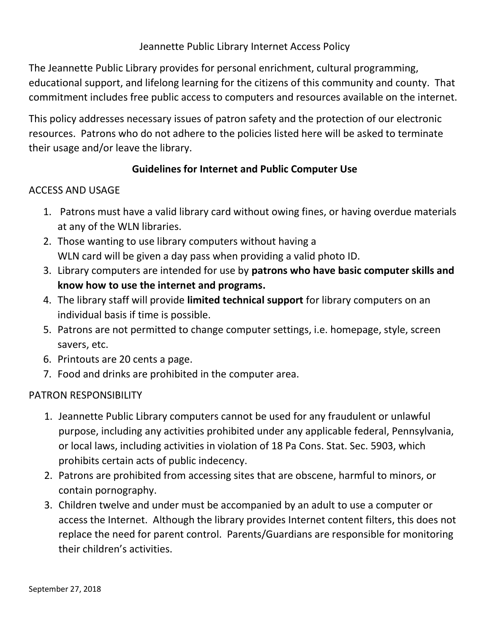# Jeannette Public Library Internet Access Policy

The Jeannette Public Library provides for personal enrichment, cultural programming, educational support, and lifelong learning for the citizens of this community and county. That commitment includes free public access to computers and resources available on the internet.

This policy addresses necessary issues of patron safety and the protection of our electronic resources. Patrons who do not adhere to the policies listed here will be asked to terminate their usage and/or leave the library.

### Guidelines for Internet and Public Computer Use

### ACCESS AND USAGE

- 1. Patrons must have a valid library card without owing fines, or having overdue materials at any of the WLN libraries.
- 2. Those wanting to use library computers without having a WLN card will be given a day pass when providing a valid photo ID.
- 3. Library computers are intended for use by patrons who have basic computer skills and know how to use the internet and programs.
- 4. The library staff will provide limited technical support for library computers on an individual basis if time is possible.
- 5. Patrons are not permitted to change computer settings, i.e. homepage, style, screen savers, etc.
- 6. Printouts are 20 cents a page.
- 7. Food and drinks are prohibited in the computer area.

# PATRON RESPONSIBILITY

- 1. Jeannette Public Library computers cannot be used for any fraudulent or unlawful purpose, including any activities prohibited under any applicable federal, Pennsylvania, or local laws, including activities in violation of 18 Pa Cons. Stat. Sec. 5903, which prohibits certain acts of public indecency.
- 2. Patrons are prohibited from accessing sites that are obscene, harmful to minors, or contain pornography.
- 3. Children twelve and under must be accompanied by an adult to use a computer or access the Internet. Although the library provides Internet content filters, this does not replace the need for parent control. Parents/Guardians are responsible for monitoring their children's activities.